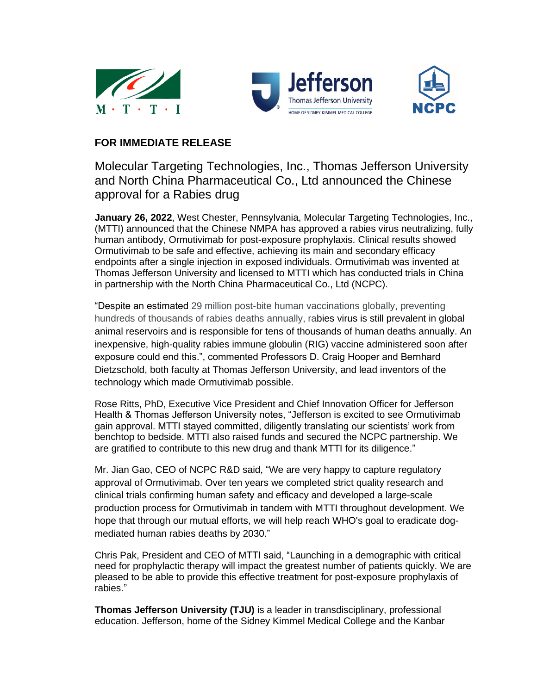





## **FOR IMMEDIATE RELEASE**

Molecular Targeting Technologies, Inc., Thomas Jefferson University and North China Pharmaceutical Co., Ltd announced the Chinese approval for a Rabies drug

**January 26, 2022**, West Chester, Pennsylvania, Molecular Targeting Technologies, Inc., (MTTI) announced that the Chinese NMPA has approved a rabies virus neutralizing, fully human antibody, Ormutivimab for post-exposure prophylaxis. Clinical results showed Ormutivimab to be safe and effective, achieving its main and secondary efficacy endpoints after a single injection in exposed individuals. Ormutivimab was invented at Thomas Jefferson University and licensed to MTTI which has conducted trials in China in partnership with the North China Pharmaceutical Co., Ltd (NCPC).

"Despite an estimated 29 million post-bite human vaccinations globally, preventing hundreds of thousands of rabies deaths annually, rabies virus is still prevalent in global animal reservoirs and is responsible for tens of thousands of human deaths annually. An inexpensive, high-quality rabies immune globulin (RIG) vaccine administered soon after exposure could end this.", commented Professors D. Craig Hooper and Bernhard Dietzschold, both faculty at Thomas Jefferson University, and lead inventors of the technology which made Ormutivimab possible.

Rose Ritts, PhD, Executive Vice President and Chief Innovation Officer for Jefferson Health & Thomas Jefferson University notes, "Jefferson is excited to see Ormutivimab gain approval. MTTI stayed committed, diligently translating our scientists' work from benchtop to bedside. MTTI also raised funds and secured the NCPC partnership. We are gratified to contribute to this new drug and thank MTTI for its diligence."

Mr. Jian Gao, CEO of NCPC R&D said, "We are very happy to capture regulatory approval of Ormutivimab. Over ten years we completed strict quality research and clinical trials confirming human safety and efficacy and developed a large-scale production process for Ormutivimab in tandem with MTTI throughout development. We hope that through our mutual efforts, we will help reach WHO's goal to eradicate dogmediated human rabies deaths by 2030."

Chris Pak, President and CEO of MTTI said, "Launching in a demographic with critical need for prophylactic therapy will impact the greatest number of patients quickly. We are pleased to be able to provide this effective treatment for post-exposure prophylaxis of rabies."

**Thomas Jefferson University (TJU)** is a leader in transdisciplinary, professional education. Jefferson, home of the Sidney Kimmel Medical College and the Kanbar